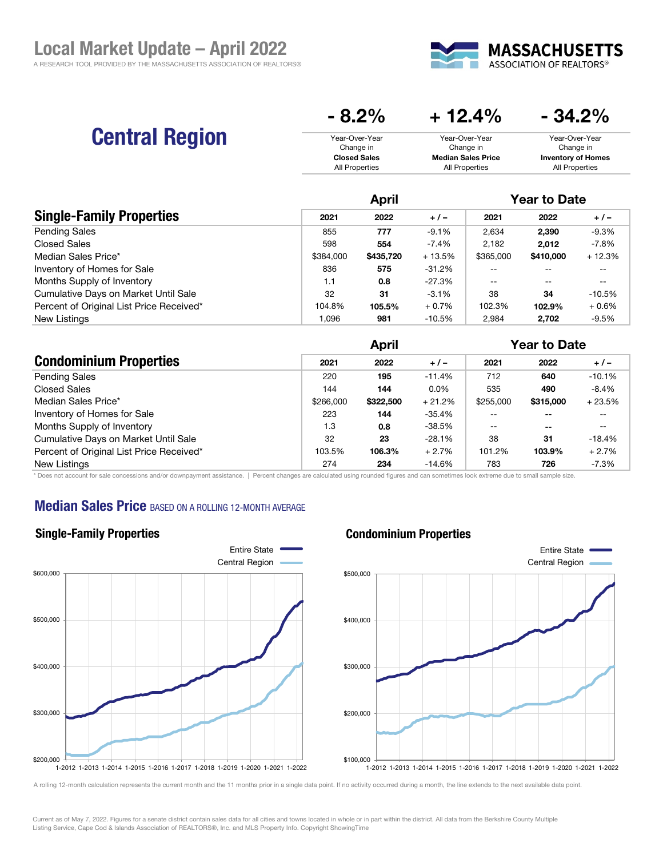

# Central Region

| $\mathbf{v}$ . $\mathbf{v}$ | - IL-I / V                | $V$ til $V$               |
|-----------------------------|---------------------------|---------------------------|
| Year-Over-Year              | Year-Over-Year            | Year-Over-Year            |
| Change in                   | Change in                 | Change in                 |
| <b>Closed Sales</b>         | <b>Median Sales Price</b> | <b>Inventory of Homes</b> |
| All Properties              | All Properties            | All Properties            |

 $- 8.2\% + 12.4\% - 34.2\%$ 

|                                          | <b>April</b> |           |          | <b>Year to Date</b> |           |          |  |
|------------------------------------------|--------------|-----------|----------|---------------------|-----------|----------|--|
| <b>Single-Family Properties</b>          | 2021         | 2022      | $+/-$    | 2021                | 2022      | $+/-$    |  |
| <b>Pending Sales</b>                     | 855          | 777       | $-9.1%$  | 2.634               | 2.390     | $-9.3%$  |  |
| Closed Sales                             | 598          | 554       | $-7.4%$  | 2.182               | 2.012     | $-7.8\%$ |  |
| Median Sales Price*                      | \$384,000    | \$435,720 | $+13.5%$ | \$365,000           | \$410,000 | $+12.3%$ |  |
| Inventory of Homes for Sale              | 836          | 575       | -31.2%   | $- -$               |           | --       |  |
| Months Supply of Inventory               | 1.1          | 0.8       | -27.3%   | $- -$               | --        | --       |  |
| Cumulative Days on Market Until Sale     | 32           | 31        | $-3.1%$  | 38                  | 34        | $-10.5%$ |  |
| Percent of Original List Price Received* | 104.8%       | 105.5%    | $+0.7%$  | 102.3%              | 102.9%    | $+0.6%$  |  |
| New Listings                             | 1.096        | 981       | $-10.5%$ | 2.984               | 2.702     | $-9.5%$  |  |

|                                          | <b>April</b> |           |          | <b>Year to Date</b> |               |          |
|------------------------------------------|--------------|-----------|----------|---------------------|---------------|----------|
| <b>Condominium Properties</b>            | 2021         | 2022      | $+/-$    | 2021                | 2022          | $+/-$    |
| <b>Pending Sales</b>                     | 220          | 195       | $-11.4%$ | 712                 | 640           | $-10.1%$ |
| <b>Closed Sales</b>                      | 144          | 144       | $0.0\%$  | 535                 | 490           | $-8.4%$  |
| Median Sales Price*                      | \$266,000    | \$322,500 | $+21.2%$ | \$255,000           | \$315,000     | $+23.5%$ |
| Inventory of Homes for Sale              | 223          | 144       | $-35.4%$ | $ -$                | $\sim$ $\sim$ | --       |
| Months Supply of Inventory               | 1.3          | 0.8       | $-38.5%$ | $-$                 | $\sim$ $\sim$ | --       |
| Cumulative Days on Market Until Sale     | 32           | 23        | $-28.1%$ | 38                  | 31            | $-18.4%$ |
| Percent of Original List Price Received* | 103.5%       | 106.3%    | $+2.7%$  | 101.2%              | 103.9%        | $+2.7%$  |
| New Listings                             | 274          | 234       | $-14.6%$ | 783                 | 726           | $-7.3%$  |

\* Does not account for sale concessions and/or downpayment assistance. | Percent changes are calculated using rounded figures and can sometimes look extreme due to small sample size.

### **Median Sales Price BASED ON A ROLLING 12-MONTH AVERAGE**



#### Condominium Properties



A rolling 12-month calculation represents the current month and the 11 months prior in a single data point. If no activity occurred during a month, the line extends to the next available data point.

Current as of May 7, 2022. Figures for a senate district contain sales data for all cities and towns located in whole or in part within the district. All data from the Berkshire County Multiple Listing Service, Cape Cod & Islands Association of REALTORS®, Inc. and MLS Property Info. Copyright ShowingTime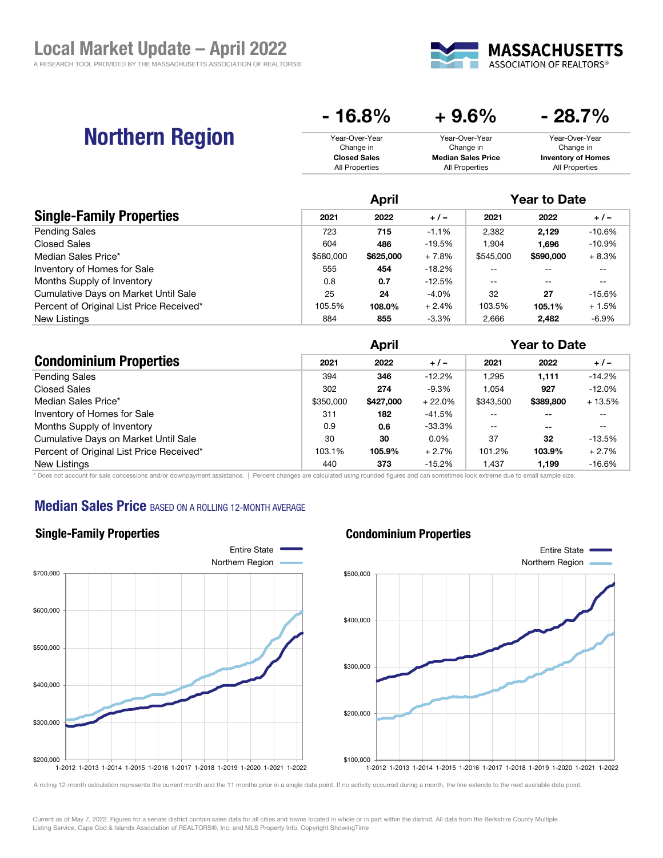

# Northern Region

| $-16.8\%$           | $+9.6%$                   | $-28.7\%$                 |
|---------------------|---------------------------|---------------------------|
| Year-Over-Year      | Year-Over-Year            | Year-Over-Year            |
| Change in           | Change in                 | Change in                 |
| <b>Closed Sales</b> | <b>Median Sales Price</b> | <b>Inventory of Homes</b> |
| All Properties      | All Properties            | All Properties            |

|                                          | April     |           |          | <b>Year to Date</b> |           |          |
|------------------------------------------|-----------|-----------|----------|---------------------|-----------|----------|
| <b>Single-Family Properties</b>          | 2021      | 2022      | $+/-$    | 2021                | 2022      | $+/-$    |
| <b>Pending Sales</b>                     | 723       | 715       | $-1.1%$  | 2.382               | 2.129     | $-10.6%$ |
| <b>Closed Sales</b>                      | 604       | 486       | $-19.5%$ | 1.904               | 1.696     | $-10.9%$ |
| Median Sales Price*                      | \$580,000 | \$625,000 | $+7.8%$  | \$545,000           | \$590,000 | $+8.3%$  |
| Inventory of Homes for Sale              | 555       | 454       | $-18.2%$ | --                  |           | --       |
| Months Supply of Inventory               | 0.8       | 0.7       | $-12.5%$ | $-$                 | $- -$     | --       |
| Cumulative Days on Market Until Sale     | 25        | 24        | $-4.0%$  | 32                  | 27        | $-15.6%$ |
| Percent of Original List Price Received* | 105.5%    | 108.0%    | $+2.4%$  | 103.5%              | 105.1%    | $+1.5%$  |
| New Listings                             | 884       | 855       | $-3.3%$  | 2,666               | 2.482     | -6.9%    |

|                                          | <b>April</b> |           |          | <b>Year to Date</b> |               |          |
|------------------------------------------|--------------|-----------|----------|---------------------|---------------|----------|
| <b>Condominium Properties</b>            | 2021         | 2022      | $+/-$    | 2021                | 2022          | $+/-$    |
| <b>Pending Sales</b>                     | 394          | 346       | $-12.2%$ | .295                | 1,111         | $-14.2%$ |
| Closed Sales                             | 302          | 274       | $-9.3%$  | .054                | 927           | $-12.0%$ |
| Median Sales Price*                      | \$350,000    | \$427,000 | $+22.0%$ | \$343,500           | \$389,800     | $+13.5%$ |
| Inventory of Homes for Sale              | 311          | 182       | $-41.5%$ | --                  | $- -$         | --       |
| Months Supply of Inventory               | 0.9          | 0.6       | -33.3%   | $-$                 | $\sim$ $\sim$ | --       |
| Cumulative Days on Market Until Sale     | 30           | 30        | $0.0\%$  | 37                  | 32            | $-13.5%$ |
| Percent of Original List Price Received* | 103.1%       | 105.9%    | $+2.7%$  | 101.2%              | 103.9%        | $+2.7%$  |
| New Listings                             | 440          | 373       | $-15.2%$ | ,437                | 1,199         | $-16.6%$ |

\* Does not account for sale concessions and/or downpayment assistance. | Percent changes are calculated using rounded figures and can sometimes look extreme due to small sample size.

### **Median Sales Price BASED ON A ROLLING 12-MONTH AVERAGE**

Single-Family Properties



#### Condominium Properties



A rolling 12-month calculation represents the current month and the 11 months prior in a single data point. If no activity occurred during a month, the line extends to the next available data point.

Current as of May 7, 2022. Figures for a senate district contain sales data for all cities and towns located in whole or in part within the district. All data from the Berkshire County Multiple Listing Service, Cape Cod & Islands Association of REALTORS®, Inc. and MLS Property Info. Copyright ShowingTime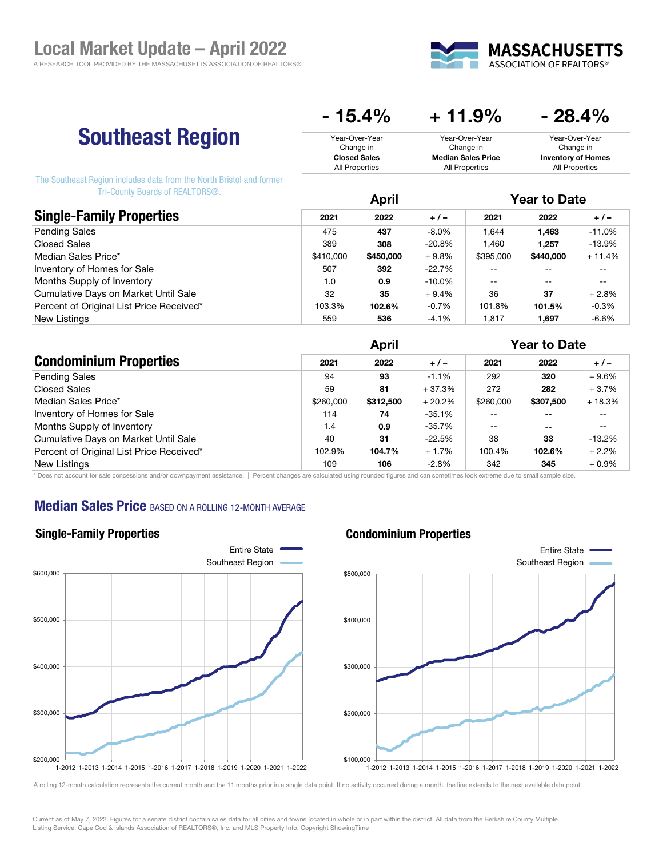

## Southeast Region

| $+11.9\%$                 | $-28.4\%$                 |  |  |
|---------------------------|---------------------------|--|--|
| Year-Over-Year            | Year-Over-Year            |  |  |
| Change in                 | Change in                 |  |  |
| <b>Median Sales Price</b> | <b>Inventory of Homes</b> |  |  |
| All Properties            | All Properties            |  |  |
|                           |                           |  |  |

The Southeast Region includes data from the North Bristol and former Tri-County Boards of REALTORS®.

|                                          |           | April     |           |           | <b>Year to Date</b> |          |  |
|------------------------------------------|-----------|-----------|-----------|-----------|---------------------|----------|--|
| <b>Single-Family Properties</b>          | 2021      | 2022      | $+ 1 -$   | 2021      | 2022                | $+/-$    |  |
| <b>Pending Sales</b>                     | 475       | 437       | $-8.0\%$  | .644      | 1.463               | $-11.0%$ |  |
| <b>Closed Sales</b>                      | 389       | 308       | $-20.8%$  | .460      | 1.257               | $-13.9%$ |  |
| Median Sales Price*                      | \$410,000 | \$450,000 | $+9.8%$   | \$395,000 | \$440,000           | $+11.4%$ |  |
| Inventory of Homes for Sale              | 507       | 392       | $-22.7\%$ | --        |                     | --       |  |
| Months Supply of Inventory               | 1.0       | 0.9       | $-10.0\%$ | $- -$     | $- -$               | --       |  |
| Cumulative Days on Market Until Sale     | 32        | 35        | $+9.4%$   | 36        | 37                  | $+2.8%$  |  |
| Percent of Original List Price Received* | 103.3%    | 102.6%    | $-0.7%$   | 101.8%    | 101.5%              | $-0.3%$  |  |
| New Listings                             | 559       | 536       | $-4.1%$   | .817      | 1.697               | $-6.6%$  |  |

|                                          | <b>April</b> |           |           | <b>Year to Date</b> |           |          |
|------------------------------------------|--------------|-----------|-----------|---------------------|-----------|----------|
| <b>Condominium Properties</b>            | 2021         | 2022      | $+ 1 -$   | 2021                | 2022      | $+/-$    |
| <b>Pending Sales</b>                     | 94           | 93        | $-1.1%$   | 292                 | 320       | $+9.6%$  |
| <b>Closed Sales</b>                      | 59           | 81        | $+37.3%$  | 272                 | 282       | $+3.7%$  |
| Median Sales Price*                      | \$260,000    | \$312,500 | $+20.2%$  | \$260,000           | \$307,500 | $+18.3%$ |
| Inventory of Homes for Sale              | 114          | 74        | $-35.1%$  | $- -$               | $- -$     | $- -$    |
| Months Supply of Inventory               | 1.4          | 0.9       | $-35.7\%$ | $- -$               | --        | $- -$    |
| Cumulative Days on Market Until Sale     | 40           | 31        | $-22.5%$  | 38                  | 33        | $-13.2%$ |
| Percent of Original List Price Received* | 102.9%       | 104.7%    | $+1.7%$   | 100.4%              | 102.6%    | $+2.2%$  |
| New Listings                             | 109          | 106       | $-2.8%$   | 342                 | 345       | $+0.9%$  |

\* Does not account for sale concessions and/or downpayment assistance. | Percent changes are calculated using rounded figures and can sometimes look extreme due to small sample size.

## **Median Sales Price BASED ON A ROLLING 12-MONTH AVERAGE**



#### Condominium Properties



A rolling 12-month calculation represents the current month and the 11 months prior in a single data point. If no activity occurred during a month, the line extends to the next available data point.

Current as of May 7, 2022. Figures for a senate district contain sales data for all cities and towns located in whole or in part within the district. All data from the Berkshire County Multiple Listing Service, Cape Cod & Islands Association of REALTORS®, Inc. and MLS Property Info. Copyright ShowingTime